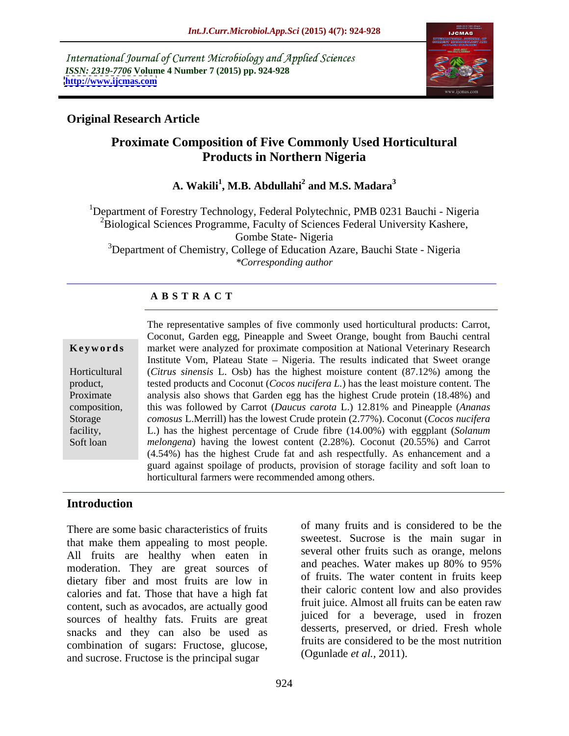International Journal of Current Microbiology and Applied Sciences *ISSN: 2319-7706* **Volume 4 Number 7 (2015) pp. 924-928 <http://www.ijcmas.com>**



## **Original Research Article**

# **Proximate Composition of Five Commonly Used Horticultural Products in Northern Nigeria**

#### **A. Wakili<sup>1</sup> , M.B. Abdullahi<sup>2</sup> and M.S. Madara<sup>3</sup>**

<sup>1</sup>Department of Forestry Technology, Federal Polytechnic, PMB 0231 Bauchi - Nigeria <sup>2</sup>Biological Sciences Programme, Faculty of Sciences Federal University Kashere, Gombe State- Nigeria <sup>3</sup>Department of Chemistry, College of Education Azare, Bauchi State - Nigeria *\*Corresponding author*

#### **A B S T R A C T**

Soft loan

The representative samples of five commonly used horticultural products: Carrot, Coconut, Garden egg, Pineapple and Sweet Orange, bought from Bauchi central market were analyzed for proximate composition at National Veterinary Research **Ke ywo rds** Institute Vom, Plateau State – Nigeria. The results indicated that Sweet orange (*Citrus sinensis* L. Osb) has the highest moisture content (87.12%) among the Horticultural tested products and Coconut (*Cocos nucifera L.*) has the least moisture content. The product, tested products and Coconut (*Cocos nucifera L*.) has the least moisture content. The analysis also shows that Garden egg has the highest Crude protein (18.48%) and this was followed by Carrot (*Daucus carota* L.) 12.81% and Pineapple (*Ananas*  composition, this was followed by Carrot (*Daucus carota* L.) 12.81% and Pineapple (*Ananas comosus L.Merrill*) has the lowest Crude protein (2.77%). Coconut (*Cocos nucifera* L.) has the highest percentage of Crude fibre (14.00%) with eggplant (*Solanum*  facility, *melongena*) having the lowest content (2.28%). Coconut (20.55%) and Carrot (4.54%) has the highest Crude fat and ash respectfully. As enhancement and a guard against spoilage of products, provision of storage facility and soft loan to horticultural farmers were recommended among others.

### **Introduction**

There are some basic characteristics of fruits that make them appealing to most people. All fruits are healthy when eaten in several other truits such as orange, meions moderation. They are great sources of and peaches. Water makes up 80% to 95% moderation. They are great sources of dietary fiber and most fruits are low in calories and fat. Those that have a high fat content, such as avocados, are actually good sources of healthy fats. Fruits are great snacks and they can also be used as combination of sugars: Fructose, glucose, and sucrose. Fructose is the principal sugar

of many fruits and is considered to be the sweetest. Sucrose is the main sugar in several other fruits such as orange, melons and peaches. Water makes up 80% to 95% of fruits. The water content in fruits keep their caloric content low and also provides fruit juice. Almost all fruits can be eaten raw juiced for a beverage, used in frozen desserts, preserved, or dried. Fresh whole fruits are considered to be the most nutrition (Ogunlade *et al.,* 2011).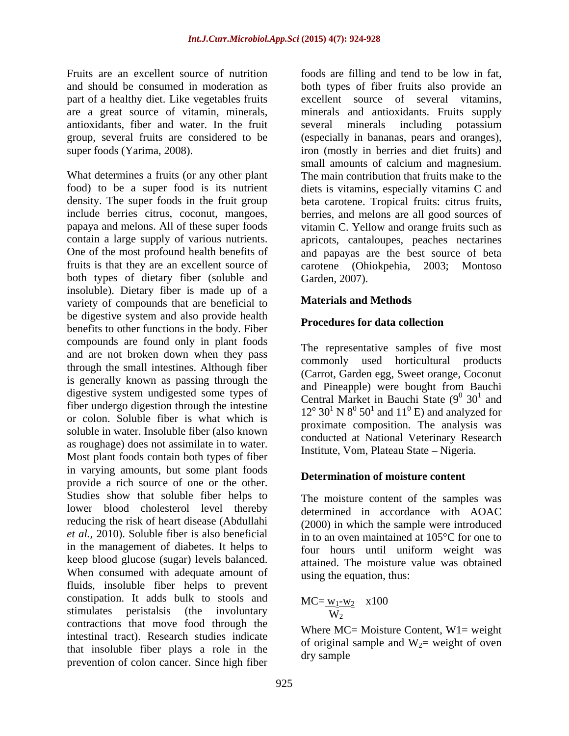part of a healthy diet. Like vegetables fruits antioxidants, fiber and water. In the fruit

What determines a fruits (or any other plant fruits is that they are an excellent source of carotene (Ohiokpehia, 2003; Montoso both types of dietary fiber (soluble and insoluble). Dietary fiber is made up of a variety of compounds that are beneficial to be digestive system and also provide health<br> **Procedures for data collection** benefits to other functions in the body. Fiber compounds are found only in plant foods and are not broken down when they pass through the small intestines. Although fiber is generally known as passing through the digestive system undigested some types of fiber undergo digestion through the intestine or colon. Soluble fiber is what which is soluble in water. Insoluble fiber (also known as roughage) does not assimilate in to water. Most plant foods contain both types of fiber in varying amounts, but some plant foods provide a rich source of one or the other. Studies show that soluble fiber helps to lower blood cholesterol level thereby reducing the risk of heart disease (Abdullahi *et al.,* 2010). Soluble fiber is also beneficial in to an oven maintained at 105°C for one to in the management of diabetes. It helps to keep blood glucose (sugar) levels balanced. When consumed with adequate amount of fluids, insoluble fiber helps to prevent constipation. It adds bulk to stools and stimulates peristalsis (the involuntary contractions that move food through the intestinal tract). Research studies indicate that insoluble fiber plays a role in the prevention of colon cancer. Since high fiber

Fruits are an excellent source of nutrition foods are filling and tend to be low in fat, and should be consumed in moderation as both types of fiber fruits also provide an are a great source of vitamin, minerals, minerals and antioxidants. Fruits supply group, several fruits are considered to be (especially in bananas, pears and oranges), super foods (Yarima, 2008). iron (mostly in berries and diet fruits) and food) to be a super food is its nutrient diets is vitamins, especially vitamins C and density. The super foods in the fruit group beta carotene. Tropical fruits: citrus fruits, include berries citrus, coconut, mangoes, berries, and melons are all good sources of papaya and melons. All of these super foods vitamin C. Yellow and orange fruits such as contain a large supply of various nutrients. apricots, cantaloupes, peaches nectarines One of the most profound health benefits of and papayas are the best source of beta excellent source of several vitamins, several minerals including potassium small amounts of calcium and magnesium. The main contribution that fruits make to the carotene (Ohiokpehia, Garden, 2007).

#### **Materials and Methods**

### **Procedures for data collection**

The representative samples of five most commonly used horticultural products (Carrot, Garden egg, Sweet orange, Coconut and Pineapple) were bought from Bauchi Central Market in Bauchi State  $(9^0 30^1 30^1 1)$  $0.30<sup>1</sup>$  and  $30<sup>1</sup>$  and  $<sup>1</sup>$  and</sup> and  $12^{\circ}$  30<sup>1</sup> N  $8^{\circ}$  50<sup>1</sup> and 11<sup>0</sup> E) and analyzed for proximate composition. The analysis was conducted at National Veterinary Research Institute, Vom, Plateau State – Nigeria.

#### **Determination of moisture content**

The moisture content of the samples was determined in accordance with AOAC (2000) in which the sample were introduced four hours until uniform weight was attained. The moisture value was obtained using the equation, thus:

$$
MC = \frac{W_1 - W_2}{W_2} \quad x100
$$

Where  $MC = Mojsture Content, W1 = weight$ of original sample and  $W_2$ = weight of oven dry sample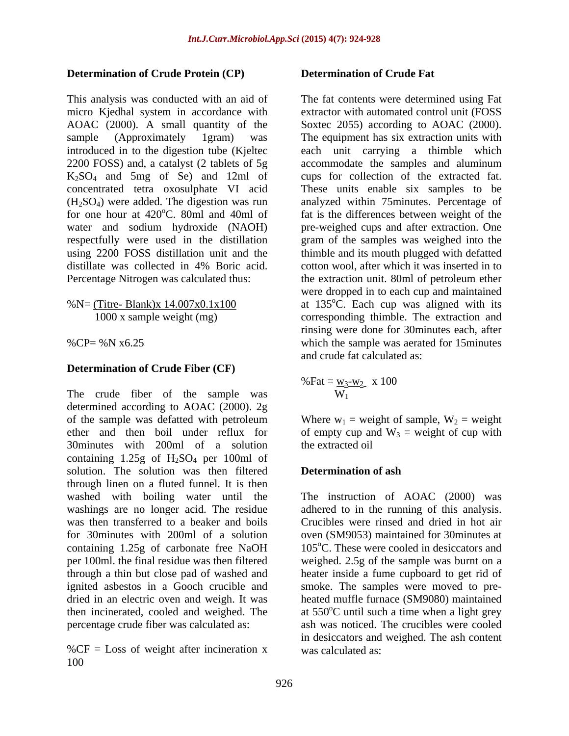### **Determination of Crude Protein (CP)**

AOAC (2000). A small quantity of the respectfully were used in the distillation

#### **Determination of Crude Fiber (CF)**

The crude fiber of the sample was determined according to AOAC (2000). 2g of the sample was defatted with petroleum Where  $w_1$  = weight of sample,  $W_2$  = weight ether and then boil under reflux for of empty cup and  $W_3$  = weight of cup with 30minutes with 200ml of a solution containing  $1.25g$  of  $H_2SO_4$  per 100ml of solution. The solution was then filtered **Determination of ash** through linen on a fluted funnel. It is then washed with boiling water until the washings are no longer acid. The residue was then transferred to a beaker and boils Crucibles were rinsed and dried in hot air for 30minutes with 200ml of a solution oven (SM9053) maintained for 30minutes at containing 1.25g of carbonate free NaOH per 100ml. the final residue was then filtered weighed. 2.5g of the sample was burnt on a through a thin but close pad of washed and heater inside a fume cupboard to get rid of ignited asbestos in a Gooch crucible and smoke. The samples were moved to pre dried in an electric oven and weigh. It was heated muffle furnace (SM9080) maintained then incinerated, cooled and weighed. The percentage crude fiber was calculated as: ash was noticed. The crucibles were cooled

 $%CF = Loss$  of weight after incineration x 100

#### **Determination of Crude Fat**

This analysis was conducted with an aid of The fat contents were determined using Fat micro Kjedhal system in accordance with extractor with automated control unit (FOSS sample (Approximately 1gram) was The equipment has six extraction units with introduced in to the digestion tube (Kjeltec each unit carrying a thimble which 2200 FOSS) and, a catalyst (2 tablets of 5g accommodate the samples and aluminum K2SO4 and 5mg of Se) and 12ml of cups for collection of the extracted fat. concentrated tetra oxosulphate VI acid These units enable six samples to be (H2SO4) were added. The digestion was run analyzed within 75minutes. Percentage of for one hour at  $420^{\circ}$ C. 80ml and 40ml of fat is the differences between weight of the water and sodium hydroxide (NAOH) pre-weighed cups and after extraction. One using 2200 FOSS distillation unit and the thimble and its mouth plugged with defatted distillate was collected in 4% Boric acid. cotton wool, after which it was inserted in to Percentage Nitrogen was calculated thus: the extraction unit. 80ml of petroleum ether %N=  $(Titre-Blank)x 14.007x0.1x100$  at 135°C. Each cup was aligned with its 1000 x sample weight (mg) corresponding thimble. The extraction and %CP= %N x6.25 which the sample was aerated for 15minutes Soxtec 2055) according to AOAC (2000). gram of the samples was weighed into the were dropped in to each cup and maintained rinsing were done for 30minutes each, after and crude fat calculated as:

% Fat = 
$$
\frac{W_3-W_2}{W_1}
$$
 x 100

 $W_1$ <br>Where  $w_1$  = weight of sample,  $W_2$  = weight the extracted oil

#### **Determination of ash**

The instruction of AOAC (2000) was adhered to in the running of this analysis.  $105^{\circ}$ C. These were cooled in desiccators and at 550°C until such a time when a light grey in desiccators and weighed. The ash content was calculated as: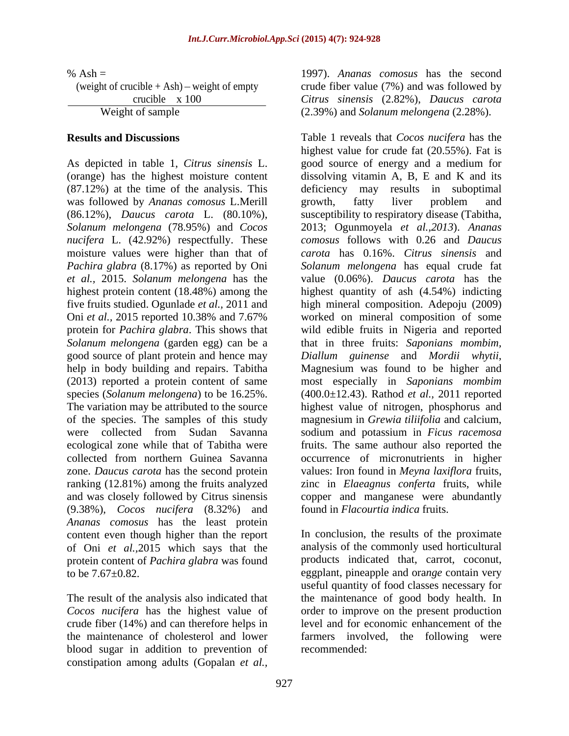(87.12%) at the time of the analysis. This was followed by *Ananas comosus* L.Merill *nucifera* L. (42.92%) respectfully. These moisture values were higher than that of *Solanum melongena* (garden egg) can be a good source of plant protein and hence may *Diallum guinense* and *Mordii whytii*, help in body building and repairs. Tabitha Magnesium was found to be higher and collected from northern Guinea Savanna (9.38%), *Cocos nucifera* (8.32%) and *Ananas comosus* has the least protein content even though higher than the report of Oni *et al.,*2015 which says that the analysis of the commonly used horticultural protein content of *Pachira glabra* was found to be 7.67±0.82. eggplant, pineapple and ora*nge* contain very

crude fiber (14%) and can therefore helps in blood sugar in addition to prevention of constipation among adults (Gopalan *et al.,*

% Ash = 1997). *Ananas comosus* has the second (weight of crucible + Ash) – weight of empty crude fiber value (7%) and was followed by crucible x 100 *Citrus sinensis* (2.82%), *Daucus carota* Weight of sample (2.39%) and *Solanum melongena* (2.28%).

**Results and Discussions** Table 1 reveals that *Cocos nucifera* has the As depicted in table 1, *Citrus sinensis* L. good source of energy and a medium for (orange) has the highest moisture content dissolving vitamin A, B, E and K and its (86.12%), *Daucus carota* L. (80.10%), susceptibility to respiratory disease (Tabitha, *Solanum melongena* (78.95%) and *Cocos*  2013; Ogunmoyela *et al.,2013*). *Ananas Pachira glabra* (8.17%) as reported by Oni *Solanum melongena* has equal crude fat *et al.,* 2015. *Solanum melongena* has the value (0.06%). *Daucus carota* has the highest protein content (18.48%) among the highest quantity of ash (4.54%) indicting five fruits studied. Ogunlade *et al.,* 2011 and high mineral composition. Adepoju (2009) Oni *et al.,* 2015 reported 10.38% and 7.67% worked on mineral composition of some protein for *Pachira glabra*. This shows that wild edible fruits in Nigeria and reported (2013) reported a protein content of same most especially in *Saponians mombim* species (*Solanum melongena*) to be 16.25%. (400.0±12.43). Rathod *et al.,* 2011 reported The variation may be attributed to the source highest value of nitrogen, phosphorus and of the species. The samples of this study magnesium in *Grewia tiliifolia* and calcium, were collected from Sudan Savanna sodium and potassium in *Ficus racemosa* ecological zone while that of Tabitha were fruits. The same authour also reported the zone. *Daucus carota* has the second protein values: Iron found in *Meyna laxiflora* fruits, ranking (12.81%) among the fruits analyzed zinc in *Elaeagnus conferta* fruits, while and was closely followed by Citrus sinensis copper and manganese were abundantly highest value for crude fat (20.55%). Fat is deficiency may results in suboptimal growth, fatty liver problem and *comosus* follows with 0.26 and *Daucus carota* has 0.16%. *Citrus sinensis* and that in three fruits: Saponians mombim, *Diallum guinense* and *Mordii whytii*, Magnesium was found to be higher and occurrence of micronutrients in higher found in *Flacourtia indica* fruits.

The result of the analysis also indicated that the maintenance of good body health. In *Cocos nucifera* has the highest value of order to improve on the present production the maintenance of cholesterol and lower farmers involved, the following were In conclusion, the results of the proximate products indicated that, carrot, coconut, useful quantity of food classes necessary for level and for economic enhancement of the recommended: